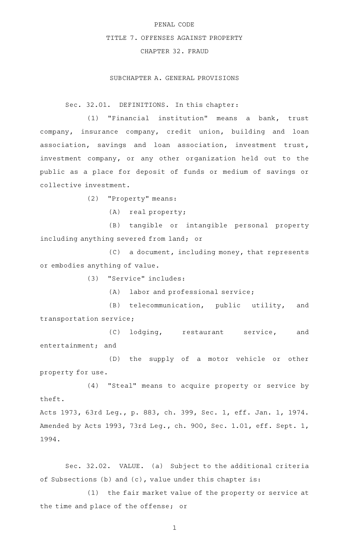#### PENAL CODE

## TITLE 7. OFFENSES AGAINST PROPERTY

# CHAPTER 32. FRAUD

## SUBCHAPTER A. GENERAL PROVISIONS

Sec. 32.01. DEFINITIONS. In this chapter:

(1) "Financial institution" means a bank, trust company, insurance company, credit union, building and loan association, savings and loan association, investment trust, investment company, or any other organization held out to the public as a place for deposit of funds or medium of savings or collective investment.

(2) "Property" means:

 $(A)$  real property;

(B) tangible or intangible personal property including anything severed from land; or

 $(C)$  a document, including money, that represents or embodies anything of value.

(3) "Service" includes:

(A) labor and professional service;

(B) telecommunication, public utility, and transportation service;

(C) lodging, restaurant service, and entertainment; and

(D) the supply of a motor vehicle or other property for use.

(4) "Steal" means to acquire property or service by theft.

Acts 1973, 63rd Leg., p. 883, ch. 399, Sec. 1, eff. Jan. 1, 1974. Amended by Acts 1993, 73rd Leg., ch. 900, Sec. 1.01, eff. Sept. 1, 1994.

Sec. 32.02. VALUE. (a) Subject to the additional criteria of Subsections (b) and (c), value under this chapter is:

(1) the fair market value of the property or service at the time and place of the offense; or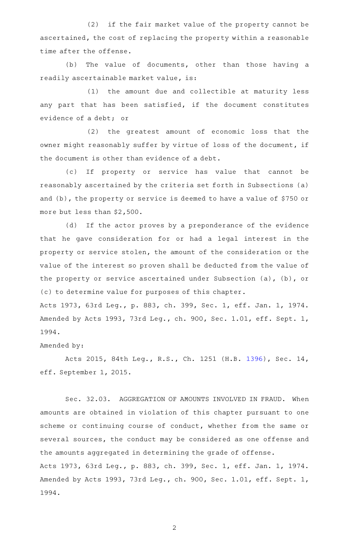(2) if the fair market value of the property cannot be ascertained, the cost of replacing the property within a reasonable time after the offense.

(b) The value of documents, other than those having a readily ascertainable market value, is:

(1) the amount due and collectible at maturity less any part that has been satisfied, if the document constitutes evidence of a debt; or

(2) the greatest amount of economic loss that the owner might reasonably suffer by virtue of loss of the document, if the document is other than evidence of a debt.

(c) If property or service has value that cannot be reasonably ascertained by the criteria set forth in Subsections (a) and (b), the property or service is deemed to have a value of \$750 or more but less than \$2,500.

(d) If the actor proves by a preponderance of the evidence that he gave consideration for or had a legal interest in the property or service stolen, the amount of the consideration or the value of the interest so proven shall be deducted from the value of the property or service ascertained under Subsection (a), (b), or (c) to determine value for purposes of this chapter.

Acts 1973, 63rd Leg., p. 883, ch. 399, Sec. 1, eff. Jan. 1, 1974. Amended by Acts 1993, 73rd Leg., ch. 900, Sec. 1.01, eff. Sept. 1, 1994.

## Amended by:

Acts 2015, 84th Leg., R.S., Ch. 1251 (H.B. [1396](http://www.legis.state.tx.us/tlodocs/84R/billtext/html/HB01396F.HTM)), Sec. 14, eff. September 1, 2015.

Sec. 32.03. AGGREGATION OF AMOUNTS INVOLVED IN FRAUD. When amounts are obtained in violation of this chapter pursuant to one scheme or continuing course of conduct, whether from the same or several sources, the conduct may be considered as one offense and the amounts aggregated in determining the grade of offense. Acts 1973, 63rd Leg., p. 883, ch. 399, Sec. 1, eff. Jan. 1, 1974. Amended by Acts 1993, 73rd Leg., ch. 900, Sec. 1.01, eff. Sept. 1, 1994.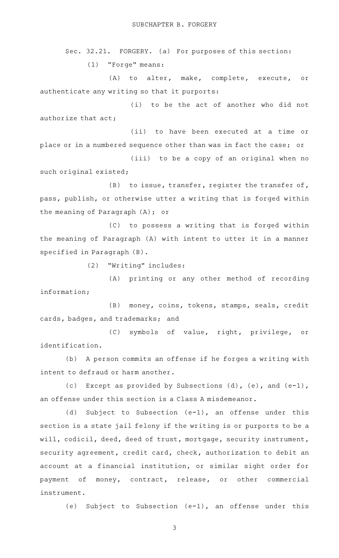Sec. 32.21. FORGERY. (a) For purposes of this section: (1) "Forge" means:

(A) to alter, make, complete, execute, or authenticate any writing so that it purports:

(i) to be the act of another who did not authorize that act;

(ii) to have been executed at a time or place or in a numbered sequence other than was in fact the case; or

(iii) to be a copy of an original when no such original existed;

 $(B)$  to issue, transfer, register the transfer of, pass, publish, or otherwise utter a writing that is forged within the meaning of Paragraph (A); or

(C) to possess a writing that is forged within the meaning of Paragraph (A) with intent to utter it in a manner specified in Paragraph (B).

(2) "Writing" includes:

(A) printing or any other method of recording information;

(B) money, coins, tokens, stamps, seals, credit cards, badges, and trademarks; and

(C) symbols of value, right, privilege, or identification.

(b) A person commits an offense if he forges a writing with intent to defraud or harm another.

(c) Except as provided by Subsections (d), (e), and (e-1), an offense under this section is a Class A misdemeanor.

(d) Subject to Subsection (e-1), an offense under this section is a state jail felony if the writing is or purports to be a will, codicil, deed, deed of trust, mortgage, security instrument, security agreement, credit card, check, authorization to debit an account at a financial institution, or similar sight order for payment of money, contract, release, or other commercial instrument.

(e) Subject to Subsection (e-1), an offense under this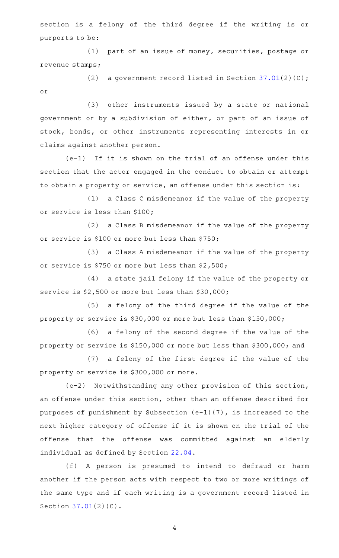section is a felony of the third degree if the writing is or purports to be:

(1) part of an issue of money, securities, postage or revenue stamps;

(2) a government record listed in Section  $37.01(2)(C)$  $37.01(2)(C)$ ; or

(3) other instruments issued by a state or national government or by a subdivision of either, or part of an issue of stock, bonds, or other instruments representing interests in or claims against another person.

 $(e-1)$  If it is shown on the trial of an offense under this section that the actor engaged in the conduct to obtain or attempt to obtain a property or service, an offense under this section is:

(1) a Class C misdemeanor if the value of the property or service is less than \$100;

(2) a Class B misdemeanor if the value of the property or service is \$100 or more but less than \$750;

(3) a Class A misdemeanor if the value of the property or service is \$750 or more but less than \$2,500;

(4) a state jail felony if the value of the property or service is \$2,500 or more but less than \$30,000;

(5) a felony of the third degree if the value of the property or service is \$30,000 or more but less than \$150,000;

(6) a felony of the second degree if the value of the property or service is \$150,000 or more but less than \$300,000; and

(7) a felony of the first degree if the value of the property or service is \$300,000 or more.

(e-2) Notwithstanding any other provision of this section, an offense under this section, other than an offense described for purposes of punishment by Subsection (e-1)(7), is increased to the next higher category of offense if it is shown on the trial of the offense that the offense was committed against an elderly individual as defined by Section [22.04](http://www.statutes.legis.state.tx.us/GetStatute.aspx?Code=PE&Value=22.04).

(f)AAA person is presumed to intend to defraud or harm another if the person acts with respect to two or more writings of the same type and if each writing is a government record listed in Section [37.01\(](http://www.statutes.legis.state.tx.us/GetStatute.aspx?Code=PE&Value=37.01)2)(C).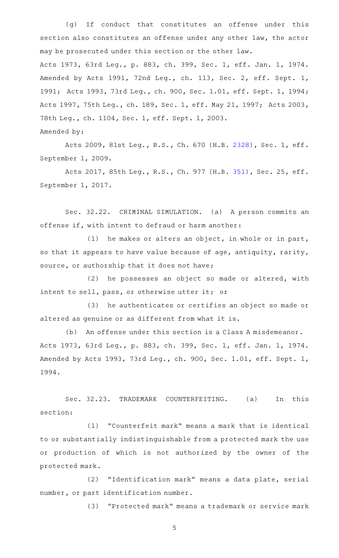(g) If conduct that constitutes an offense under this section also constitutes an offense under any other law, the actor may be prosecuted under this section or the other law. Acts 1973, 63rd Leg., p. 883, ch. 399, Sec. 1, eff. Jan. 1, 1974. Amended by Acts 1991, 72nd Leg., ch. 113, Sec. 2, eff. Sept. 1, 1991; Acts 1993, 73rd Leg., ch. 900, Sec. 1.01, eff. Sept. 1, 1994; Acts 1997, 75th Leg., ch. 189, Sec. 1, eff. May 21, 1997; Acts 2003, 78th Leg., ch. 1104, Sec. 1, eff. Sept. 1, 2003. Amended by:

Acts 2009, 81st Leg., R.S., Ch. 670 (H.B. [2328](http://www.legis.state.tx.us/tlodocs/81R/billtext/html/HB02328F.HTM)), Sec. 1, eff. September 1, 2009.

Acts 2017, 85th Leg., R.S., Ch. 977 (H.B. [351\)](http://www.legis.state.tx.us/tlodocs/85R/billtext/html/HB00351F.HTM), Sec. 25, eff. September 1, 2017.

Sec. 32.22. CRIMINAL SIMULATION. (a) A person commits an offense if, with intent to defraud or harm another:

(1) he makes or alters an object, in whole or in part, so that it appears to have value because of age, antiquity, rarity, source, or authorship that it does not have;

(2) he possesses an object so made or altered, with intent to sell, pass, or otherwise utter it; or

(3) he authenticates or certifies an object so made or altered as genuine or as different from what it is.

(b) An offense under this section is a Class A misdemeanor. Acts 1973, 63rd Leg., p. 883, ch. 399, Sec. 1, eff. Jan. 1, 1974. Amended by Acts 1993, 73rd Leg., ch. 900, Sec. 1.01, eff. Sept. 1, 1994.

Sec. 32.23. TRADEMARK COUNTERFEITING. (a) In this section:

(1) "Counterfeit mark" means a mark that is identical to or substantially indistinguishable from a protected mark the use or production of which is not authorized by the owner of the protected mark.

(2) "Identification mark" means a data plate, serial number, or part identification number.

(3) "Protected mark" means a trademark or service mark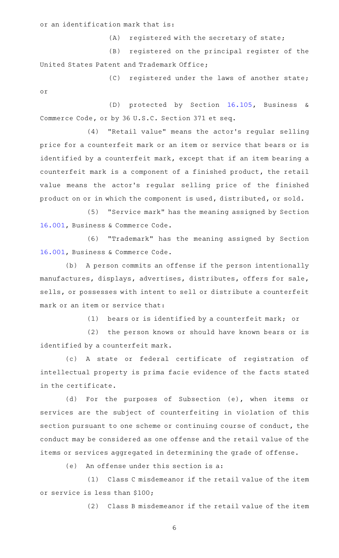or an identification mark that is:

 $(A)$  registered with the secretary of state;

(B) registered on the principal register of the United States Patent and Trademark Office;

(C) registered under the laws of another state; or

(D) protected by Section [16.105](http://www.statutes.legis.state.tx.us/GetStatute.aspx?Code=BC&Value=16.105), Business & Commerce Code, or by 36 U.S.C. Section 371 et seq.

(4) "Retail value" means the actor's regular selling price for a counterfeit mark or an item or service that bears or is identified by a counterfeit mark, except that if an item bearing a counterfeit mark is a component of a finished product, the retail value means the actor's regular selling price of the finished product on or in which the component is used, distributed, or sold.

(5) "Service mark" has the meaning assigned by Section [16.001](http://www.statutes.legis.state.tx.us/GetStatute.aspx?Code=BC&Value=16.001), Business & Commerce Code.

(6) "Trademark" has the meaning assigned by Section [16.001](http://www.statutes.legis.state.tx.us/GetStatute.aspx?Code=BC&Value=16.001), Business & Commerce Code.

(b) A person commits an offense if the person intentionally manufactures, displays, advertises, distributes, offers for sale, sells, or possesses with intent to sell or distribute a counterfeit mark or an item or service that:

(1) bears or is identified by a counterfeit mark; or

(2) the person knows or should have known bears or is identified by a counterfeit mark.

(c)AAA state or federal certificate of registration of intellectual property is prima facie evidence of the facts stated in the certificate.

(d) For the purposes of Subsection (e), when items or services are the subject of counterfeiting in violation of this section pursuant to one scheme or continuing course of conduct, the conduct may be considered as one offense and the retail value of the items or services aggregated in determining the grade of offense.

 $(e)$  An offense under this section is a:

(1) Class C misdemeanor if the retail value of the item or service is less than \$100;

(2) Class B misdemeanor if the retail value of the item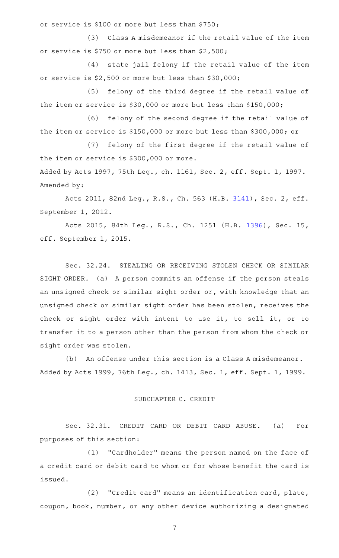or service is \$100 or more but less than \$750;

(3) Class A misdemeanor if the retail value of the item or service is \$750 or more but less than \$2,500;

(4) state jail felony if the retail value of the item or service is \$2,500 or more but less than \$30,000;

(5) felony of the third degree if the retail value of the item or service is \$30,000 or more but less than \$150,000;

(6) felony of the second degree if the retail value of the item or service is \$150,000 or more but less than \$300,000; or

(7) felony of the first degree if the retail value of the item or service is \$300,000 or more.

Added by Acts 1997, 75th Leg., ch. 1161, Sec. 2, eff. Sept. 1, 1997. Amended by:

Acts 2011, 82nd Leg., R.S., Ch. 563 (H.B. [3141](http://www.legis.state.tx.us/tlodocs/82R/billtext/html/HB03141F.HTM)), Sec. 2, eff. September 1, 2012.

Acts 2015, 84th Leg., R.S., Ch. 1251 (H.B. [1396](http://www.legis.state.tx.us/tlodocs/84R/billtext/html/HB01396F.HTM)), Sec. 15, eff. September 1, 2015.

Sec. 32.24. STEALING OR RECEIVING STOLEN CHECK OR SIMILAR SIGHT ORDER. (a) A person commits an offense if the person steals an unsigned check or similar sight order or, with knowledge that an unsigned check or similar sight order has been stolen, receives the check or sight order with intent to use it, to sell it, or to transfer it to a person other than the person from whom the check or sight order was stolen.

(b) An offense under this section is a Class A misdemeanor. Added by Acts 1999, 76th Leg., ch. 1413, Sec. 1, eff. Sept. 1, 1999.

#### SUBCHAPTER C. CREDIT

Sec. 32.31. CREDIT CARD OR DEBIT CARD ABUSE. (a) For purposes of this section:

(1) "Cardholder" means the person named on the face of a credit card or debit card to whom or for whose benefit the card is issued.

(2) "Credit card" means an identification card, plate, coupon, book, number, or any other device authorizing a designated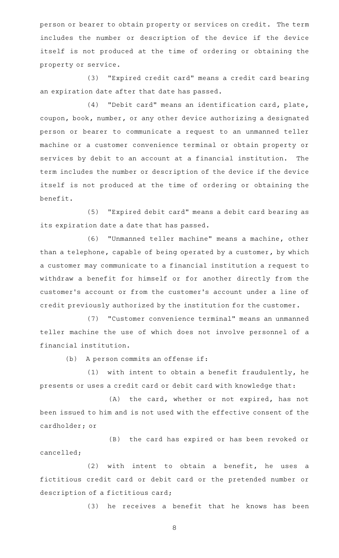person or bearer to obtain property or services on credit. The term includes the number or description of the device if the device itself is not produced at the time of ordering or obtaining the property or service.

(3) "Expired credit card" means a credit card bearing an expiration date after that date has passed.

(4) "Debit card" means an identification card, plate, coupon, book, number, or any other device authorizing a designated person or bearer to communicate a request to an unmanned teller machine or a customer convenience terminal or obtain property or services by debit to an account at a financial institution. The term includes the number or description of the device if the device itself is not produced at the time of ordering or obtaining the benefit.

(5) "Expired debit card" means a debit card bearing as its expiration date a date that has passed.

(6) "Unmanned teller machine" means a machine, other than a telephone, capable of being operated by a customer, by which a customer may communicate to a financial institution a request to withdraw a benefit for himself or for another directly from the customer 's account or from the customer 's account under a line of credit previously authorized by the institution for the customer.

(7) "Customer convenience terminal" means an unmanned teller machine the use of which does not involve personnel of a financial institution.

(b) A person commits an offense if:

 $(1)$  with intent to obtain a benefit fraudulently, he presents or uses a credit card or debit card with knowledge that:

(A) the card, whether or not expired, has not been issued to him and is not used with the effective consent of the cardholder; or

(B) the card has expired or has been revoked or cancelled;

 $(2)$  with intent to obtain a benefit, he uses a fictitious credit card or debit card or the pretended number or description of a fictitious card;

(3) he receives a benefit that he knows has been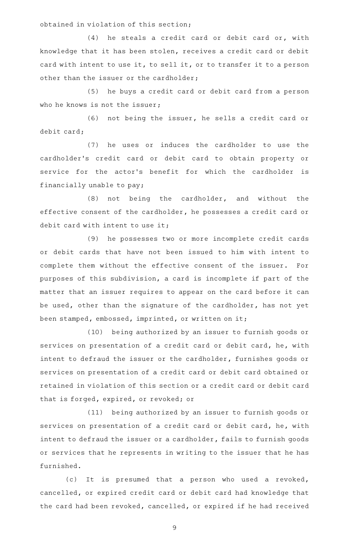obtained in violation of this section;

 $(4)$  he steals a credit card or debit card or, with knowledge that it has been stolen, receives a credit card or debit card with intent to use it, to sell it, or to transfer it to a person other than the issuer or the cardholder;

(5) he buys a credit card or debit card from a person who he knows is not the issuer;

(6) not being the issuer, he sells a credit card or debit card;

(7) he uses or induces the cardholder to use the cardholder 's credit card or debit card to obtain property or service for the actor's benefit for which the cardholder is financially unable to pay;

 $(8)$  not being the cardholder, and without the effective consent of the cardholder, he possesses a credit card or debit card with intent to use it;

(9) he possesses two or more incomplete credit cards or debit cards that have not been issued to him with intent to complete them without the effective consent of the issuer. For purposes of this subdivision, a card is incomplete if part of the matter that an issuer requires to appear on the card before it can be used, other than the signature of the cardholder, has not yet been stamped, embossed, imprinted, or written on it;

(10) being authorized by an issuer to furnish goods or services on presentation of a credit card or debit card, he, with intent to defraud the issuer or the cardholder, furnishes goods or services on presentation of a credit card or debit card obtained or retained in violation of this section or a credit card or debit card that is forged, expired, or revoked; or

(11) being authorized by an issuer to furnish goods or services on presentation of a credit card or debit card, he, with intent to defraud the issuer or a cardholder, fails to furnish goods or services that he represents in writing to the issuer that he has furnished.

(c) It is presumed that a person who used a revoked, cancelled, or expired credit card or debit card had knowledge that the card had been revoked, cancelled, or expired if he had received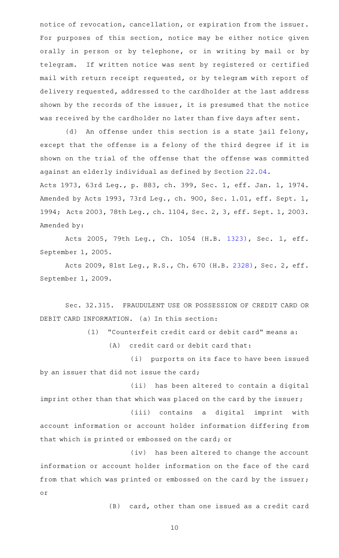notice of revocation, cancellation, or expiration from the issuer. For purposes of this section, notice may be either notice given orally in person or by telephone, or in writing by mail or by telegram. If written notice was sent by registered or certified mail with return receipt requested, or by telegram with report of delivery requested, addressed to the cardholder at the last address shown by the records of the issuer, it is presumed that the notice was received by the cardholder no later than five days after sent.

(d) An offense under this section is a state jail felony, except that the offense is a felony of the third degree if it is shown on the trial of the offense that the offense was committed against an elderly individual as defined by Section [22.04](http://www.statutes.legis.state.tx.us/GetStatute.aspx?Code=PE&Value=22.04).

Acts 1973, 63rd Leg., p. 883, ch. 399, Sec. 1, eff. Jan. 1, 1974. Amended by Acts 1993, 73rd Leg., ch. 900, Sec. 1.01, eff. Sept. 1, 1994; Acts 2003, 78th Leg., ch. 1104, Sec. 2, 3, eff. Sept. 1, 2003. Amended by:

Acts 2005, 79th Leg., Ch. 1054 (H.B. [1323](http://www.legis.state.tx.us/tlodocs/79R/billtext/html/HB01323F.HTM)), Sec. 1, eff. September 1, 2005.

Acts 2009, 81st Leg., R.S., Ch. 670 (H.B. [2328](http://www.legis.state.tx.us/tlodocs/81R/billtext/html/HB02328F.HTM)), Sec. 2, eff. September 1, 2009.

Sec. 32.315. FRAUDULENT USE OR POSSESSION OF CREDIT CARD OR DEBIT CARD INFORMATION. (a) In this section:

(1) "Counterfeit credit card or debit card" means a:

 $(A)$  credit card or debit card that:

(i) purports on its face to have been issued by an issuer that did not issue the card;

(ii) has been altered to contain a digital imprint other than that which was placed on the card by the issuer;

(iii) contains a digital imprint with account information or account holder information differing from that which is printed or embossed on the card; or

(iv) has been altered to change the account information or account holder information on the face of the card from that which was printed or embossed on the card by the issuer; or

(B) card, other than one issued as a credit card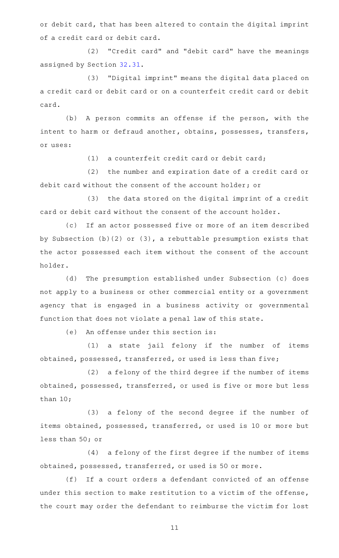or debit card, that has been altered to contain the digital imprint of a credit card or debit card.

(2) "Credit card" and "debit card" have the meanings assigned by Section [32.31](http://www.statutes.legis.state.tx.us/GetStatute.aspx?Code=PE&Value=32.31).

(3) "Digital imprint" means the digital data placed on a credit card or debit card or on a counterfeit credit card or debit card.

(b) A person commits an offense if the person, with the intent to harm or defraud another, obtains, possesses, transfers, or uses:

 $(1)$  a counterfeit credit card or debit card;

(2) the number and expiration date of a credit card or debit card without the consent of the account holder; or

(3) the data stored on the digital imprint of a credit card or debit card without the consent of the account holder.

(c) If an actor possessed five or more of an item described by Subsection (b)(2) or (3), a rebuttable presumption exists that the actor possessed each item without the consent of the account holder.

(d) The presumption established under Subsection (c) does not apply to a business or other commercial entity or a government agency that is engaged in a business activity or governmental function that does not violate a penal law of this state.

(e) An offense under this section is:

(1) a state jail felony if the number of items obtained, possessed, transferred, or used is less than five;

 $(2)$  a felony of the third degree if the number of items obtained, possessed, transferred, or used is five or more but less than 10;

(3) a felony of the second degree if the number of items obtained, possessed, transferred, or used is 10 or more but less than 50; or

(4) a felony of the first degree if the number of items obtained, possessed, transferred, or used is 50 or more.

(f) If a court orders a defendant convicted of an offense under this section to make restitution to a victim of the offense, the court may order the defendant to reimburse the victim for lost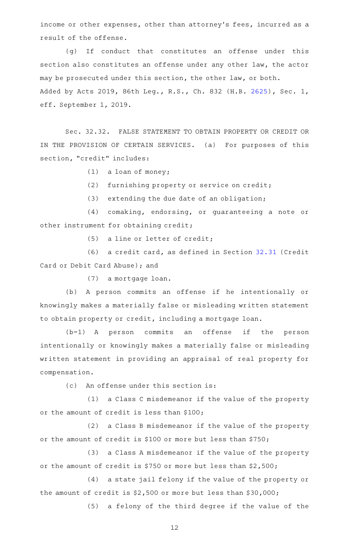income or other expenses, other than attorney's fees, incurred as a result of the offense.

(g) If conduct that constitutes an offense under this section also constitutes an offense under any other law, the actor may be prosecuted under this section, the other law, or both. Added by Acts 2019, 86th Leg., R.S., Ch. 832 (H.B. [2625](http://www.legis.state.tx.us/tlodocs/86R/billtext/html/HB02625F.HTM)), Sec. 1, eff. September 1, 2019.

Sec. 32.32. FALSE STATEMENT TO OBTAIN PROPERTY OR CREDIT OR IN THE PROVISION OF CERTAIN SERVICES. (a) For purposes of this section, "credit" includes:

 $(1)$  a loan of money;

(2) furnishing property or service on credit;

 $(3)$  extending the due date of an obligation;

(4) comaking, endorsing, or guaranteeing a note or other instrument for obtaining credit;

 $(5)$  a line or letter of credit;

 $(6)$  a credit card, as defined in Section [32.31](http://www.statutes.legis.state.tx.us/GetStatute.aspx?Code=PE&Value=32.31) (Credit Card or Debit Card Abuse); and

(7) a mortgage loan.

(b) A person commits an offense if he intentionally or knowingly makes a materially false or misleading written statement to obtain property or credit, including a mortgage loan.

(b-1)AAA person commits an offense if the person intentionally or knowingly makes a materially false or misleading written statement in providing an appraisal of real property for compensation.

(c) An offense under this section is:

(1) a Class C misdemeanor if the value of the property or the amount of credit is less than \$100;

 $(2)$  a Class B misdemeanor if the value of the property or the amount of credit is \$100 or more but less than \$750;

(3) a Class A misdemeanor if the value of the property or the amount of credit is \$750 or more but less than \$2,500;

(4) a state jail felony if the value of the property or the amount of credit is \$2,500 or more but less than \$30,000;

(5) a felony of the third degree if the value of the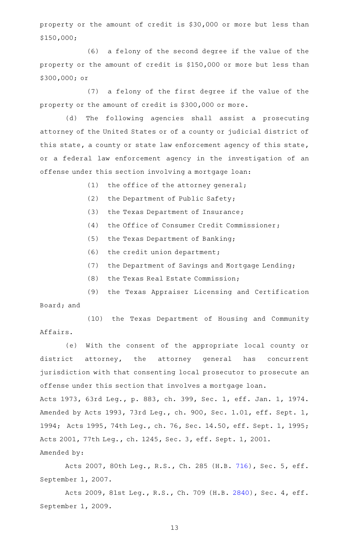property or the amount of credit is \$30,000 or more but less than \$150,000;

(6) a felony of the second degree if the value of the property or the amount of credit is \$150,000 or more but less than \$300,000; or

(7) a felony of the first degree if the value of the property or the amount of credit is \$300,000 or more.

(d) The following agencies shall assist a prosecuting attorney of the United States or of a county or judicial district of this state, a county or state law enforcement agency of this state, or a federal law enforcement agency in the investigation of an offense under this section involving a mortgage loan:

- $(1)$  the office of the attorney general;
- (2) the Department of Public Safety;
- (3) the Texas Department of Insurance;
- (4) the Office of Consumer Credit Commissioner;
- (5) the Texas Department of Banking;
- $(6)$  the credit union department;
- (7) the Department of Savings and Mortgage Lending;
- (8) the Texas Real Estate Commission;

(9) the Texas Appraiser Licensing and Certification Board; and

(10) the Texas Department of Housing and Community Affairs.

(e) With the consent of the appropriate local county or district attorney, the attorney general has concurrent jurisdiction with that consenting local prosecutor to prosecute an offense under this section that involves a mortgage loan.

Acts 1973, 63rd Leg., p. 883, ch. 399, Sec. 1, eff. Jan. 1, 1974. Amended by Acts 1993, 73rd Leg., ch. 900, Sec. 1.01, eff. Sept. 1, 1994; Acts 1995, 74th Leg., ch. 76, Sec. 14.50, eff. Sept. 1, 1995; Acts 2001, 77th Leg., ch. 1245, Sec. 3, eff. Sept. 1, 2001. Amended by:

Acts 2007, 80th Leg., R.S., Ch. 285 (H.B. [716](http://www.legis.state.tx.us/tlodocs/80R/billtext/html/HB00716F.HTM)), Sec. 5, eff. September 1, 2007.

Acts 2009, 81st Leg., R.S., Ch. 709 (H.B. [2840](http://www.legis.state.tx.us/tlodocs/81R/billtext/html/HB02840F.HTM)), Sec. 4, eff. September 1, 2009.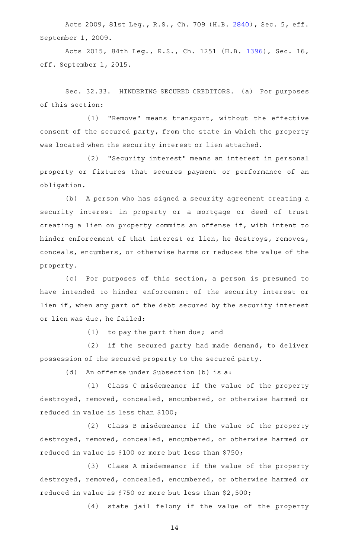Acts 2009, 81st Leg., R.S., Ch. 709 (H.B. [2840](http://www.legis.state.tx.us/tlodocs/81R/billtext/html/HB02840F.HTM)), Sec. 5, eff. September 1, 2009.

Acts 2015, 84th Leg., R.S., Ch. 1251 (H.B. [1396](http://www.legis.state.tx.us/tlodocs/84R/billtext/html/HB01396F.HTM)), Sec. 16, eff. September 1, 2015.

Sec. 32.33. HINDERING SECURED CREDITORS. (a) For purposes of this section:

(1) "Remove" means transport, without the effective consent of the secured party, from the state in which the property was located when the security interest or lien attached.

(2) "Security interest" means an interest in personal property or fixtures that secures payment or performance of an obligation.

(b) A person who has signed a security agreement creating a security interest in property or a mortgage or deed of trust creating a lien on property commits an offense if, with intent to hinder enforcement of that interest or lien, he destroys, removes, conceals, encumbers, or otherwise harms or reduces the value of the property.

(c) For purposes of this section, a person is presumed to have intended to hinder enforcement of the security interest or lien if, when any part of the debt secured by the security interest or lien was due, he failed:

 $(1)$  to pay the part then due; and

 $(2)$  if the secured party had made demand, to deliver possession of the secured property to the secured party.

(d) An offense under Subsection (b) is a:

(1) Class C misdemeanor if the value of the property destroyed, removed, concealed, encumbered, or otherwise harmed or reduced in value is less than \$100;

(2) Class B misdemeanor if the value of the property destroyed, removed, concealed, encumbered, or otherwise harmed or reduced in value is \$100 or more but less than \$750;

(3) Class A misdemeanor if the value of the property destroyed, removed, concealed, encumbered, or otherwise harmed or reduced in value is \$750 or more but less than \$2,500;

(4) state jail felony if the value of the property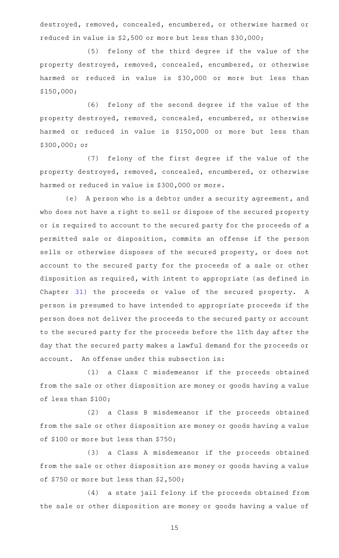destroyed, removed, concealed, encumbered, or otherwise harmed or reduced in value is \$2,500 or more but less than \$30,000;

(5) felony of the third degree if the value of the property destroyed, removed, concealed, encumbered, or otherwise harmed or reduced in value is \$30,000 or more but less than \$150,000;

(6) felony of the second degree if the value of the property destroyed, removed, concealed, encumbered, or otherwise harmed or reduced in value is \$150,000 or more but less than \$300,000; or

(7) felony of the first degree if the value of the property destroyed, removed, concealed, encumbered, or otherwise harmed or reduced in value is \$300,000 or more.

(e) A person who is a debtor under a security agreement, and who does not have a right to sell or dispose of the secured property or is required to account to the secured party for the proceeds of a permitted sale or disposition, commits an offense if the person sells or otherwise disposes of the secured property, or does not account to the secured party for the proceeds of a sale or other disposition as required, with intent to appropriate (as defined in Chapter  $31$ ) the proceeds or value of the secured property. A person is presumed to have intended to appropriate proceeds if the person does not deliver the proceeds to the secured party or account to the secured party for the proceeds before the 11th day after the day that the secured party makes a lawful demand for the proceeds or account. An offense under this subsection is:

(1) a Class C misdemeanor if the proceeds obtained from the sale or other disposition are money or goods having a value of less than \$100;

(2) a Class B misdemeanor if the proceeds obtained from the sale or other disposition are money or goods having a value of \$100 or more but less than \$750;

(3) a Class A misdemeanor if the proceeds obtained from the sale or other disposition are money or goods having a value of \$750 or more but less than \$2,500;

(4) a state jail felony if the proceeds obtained from the sale or other disposition are money or goods having a value of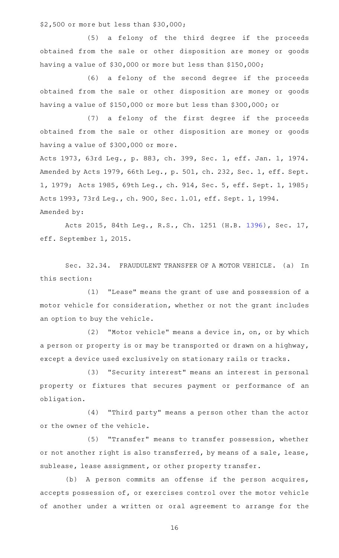\$2,500 or more but less than \$30,000;

(5) a felony of the third degree if the proceeds obtained from the sale or other disposition are money or goods having a value of \$30,000 or more but less than \$150,000;

(6) a felony of the second degree if the proceeds obtained from the sale or other disposition are money or goods having a value of \$150,000 or more but less than \$300,000; or

(7) a felony of the first degree if the proceeds obtained from the sale or other disposition are money or goods having a value of \$300,000 or more.

Acts 1973, 63rd Leg., p. 883, ch. 399, Sec. 1, eff. Jan. 1, 1974. Amended by Acts 1979, 66th Leg., p. 501, ch. 232, Sec. 1, eff. Sept. 1, 1979; Acts 1985, 69th Leg., ch. 914, Sec. 5, eff. Sept. 1, 1985; Acts 1993, 73rd Leg., ch. 900, Sec. 1.01, eff. Sept. 1, 1994. Amended by:

Acts 2015, 84th Leg., R.S., Ch. 1251 (H.B. [1396](http://www.legis.state.tx.us/tlodocs/84R/billtext/html/HB01396F.HTM)), Sec. 17, eff. September 1, 2015.

Sec. 32.34. FRAUDULENT TRANSFER OF A MOTOR VEHICLE. (a) In this section:

(1) "Lease" means the grant of use and possession of a motor vehicle for consideration, whether or not the grant includes an option to buy the vehicle.

(2) "Motor vehicle" means a device in, on, or by which a person or property is or may be transported or drawn on a highway, except a device used exclusively on stationary rails or tracks.

(3) "Security interest" means an interest in personal property or fixtures that secures payment or performance of an obligation.

(4) "Third party" means a person other than the actor or the owner of the vehicle.

(5) "Transfer" means to transfer possession, whether or not another right is also transferred, by means of a sale, lease, sublease, lease assignment, or other property transfer.

(b) A person commits an offense if the person acquires, accepts possession of, or exercises control over the motor vehicle of another under a written or oral agreement to arrange for the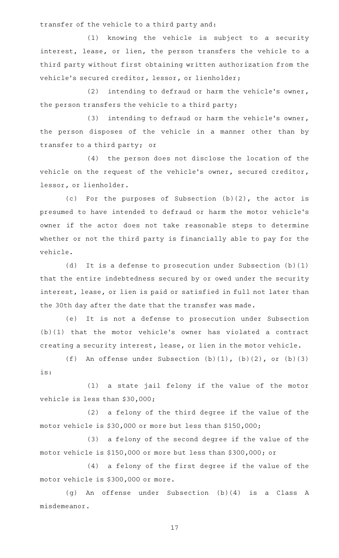transfer of the vehicle to a third party and:

(1) knowing the vehicle is subject to a security interest, lease, or lien, the person transfers the vehicle to a third party without first obtaining written authorization from the vehicle's secured creditor, lessor, or lienholder;

(2) intending to defraud or harm the vehicle's owner, the person transfers the vehicle to a third party;

(3) intending to defraud or harm the vehicle's owner, the person disposes of the vehicle in a manner other than by transfer to a third party; or

(4) the person does not disclose the location of the vehicle on the request of the vehicle's owner, secured creditor, lessor, or lienholder.

(c) For the purposes of Subsection  $(b)(2)$ , the actor is presumed to have intended to defraud or harm the motor vehicle 's owner if the actor does not take reasonable steps to determine whether or not the third party is financially able to pay for the vehicle.

(d) It is a defense to prosecution under Subsection (b)(1) that the entire indebtedness secured by or owed under the security interest, lease, or lien is paid or satisfied in full not later than the 30th day after the date that the transfer was made.

(e) It is not a defense to prosecution under Subsection (b)(1) that the motor vehicle 's owner has violated a contract creating a security interest, lease, or lien in the motor vehicle.

(f) An offense under Subsection  $(b)(1)$ ,  $(b)(2)$ , or  $(b)(3)$ is:

(1) a state jail felony if the value of the motor vehicle is less than \$30,000;

(2) a felony of the third degree if the value of the motor vehicle is \$30,000 or more but less than \$150,000;

(3) a felony of the second degree if the value of the motor vehicle is \$150,000 or more but less than \$300,000; or

 $(4)$  a felony of the first degree if the value of the motor vehicle is \$300,000 or more.

(g) An offense under Subsection (b)(4) is a Class A misdemeanor.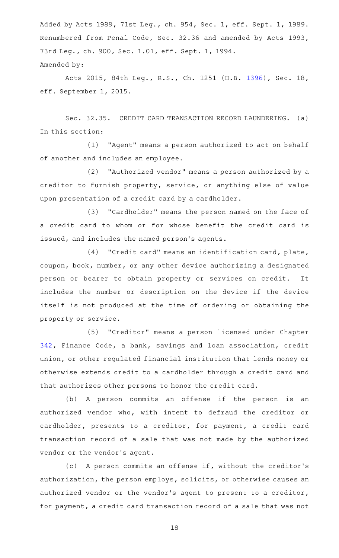Added by Acts 1989, 71st Leg., ch. 954, Sec. 1, eff. Sept. 1, 1989. Renumbered from Penal Code, Sec. 32.36 and amended by Acts 1993, 73rd Leg., ch. 900, Sec. 1.01, eff. Sept. 1, 1994. Amended by:

Acts 2015, 84th Leg., R.S., Ch. 1251 (H.B. [1396](http://www.legis.state.tx.us/tlodocs/84R/billtext/html/HB01396F.HTM)), Sec. 18, eff. September 1, 2015.

Sec. 32.35. CREDIT CARD TRANSACTION RECORD LAUNDERING. (a) In this section:

(1) "Agent" means a person authorized to act on behalf of another and includes an employee.

(2) "Authorized vendor" means a person authorized by a creditor to furnish property, service, or anything else of value upon presentation of a credit card by a cardholder.

(3) "Cardholder" means the person named on the face of a credit card to whom or for whose benefit the credit card is issued, and includes the named person 's agents.

(4) "Credit card" means an identification card, plate, coupon, book, number, or any other device authorizing a designated person or bearer to obtain property or services on credit. It includes the number or description on the device if the device itself is not produced at the time of ordering or obtaining the property or service.

(5) "Creditor" means a person licensed under Chapter [342,](http://www.statutes.legis.state.tx.us/GetStatute.aspx?Code=FI&Value=342) Finance Code, a bank, savings and loan association, credit union, or other regulated financial institution that lends money or otherwise extends credit to a cardholder through a credit card and that authorizes other persons to honor the credit card.

(b) A person commits an offense if the person is an authorized vendor who, with intent to defraud the creditor or cardholder, presents to a creditor, for payment, a credit card transaction record of a sale that was not made by the authorized vendor or the vendor 's agent.

(c) A person commits an offense if, without the creditor's authorization, the person employs, solicits, or otherwise causes an authorized vendor or the vendor 's agent to present to a creditor, for payment, a credit card transaction record of a sale that was not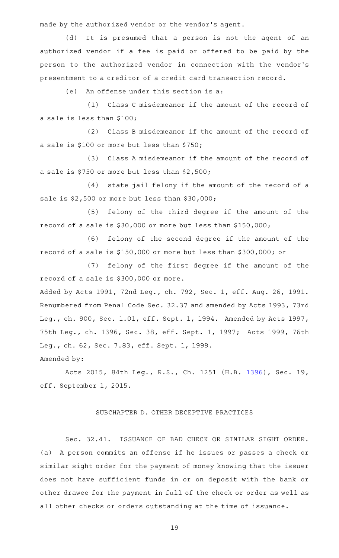made by the authorized vendor or the vendor 's agent.

(d) It is presumed that a person is not the agent of an authorized vendor if a fee is paid or offered to be paid by the person to the authorized vendor in connection with the vendor 's presentment to a creditor of a credit card transaction record.

 $(e)$  An offense under this section is a:

(1) Class C misdemeanor if the amount of the record of a sale is less than \$100;

(2) Class B misdemeanor if the amount of the record of a sale is \$100 or more but less than \$750;

(3) Class A misdemeanor if the amount of the record of a sale is \$750 or more but less than \$2,500;

(4) state jail felony if the amount of the record of a sale is \$2,500 or more but less than \$30,000;

(5) felony of the third degree if the amount of the record of a sale is \$30,000 or more but less than \$150,000;

(6) felony of the second degree if the amount of the record of a sale is \$150,000 or more but less than \$300,000; or

(7) felony of the first degree if the amount of the record of a sale is \$300,000 or more.

Added by Acts 1991, 72nd Leg., ch. 792, Sec. 1, eff. Aug. 26, 1991. Renumbered from Penal Code Sec. 32.37 and amended by Acts 1993, 73rd Leg., ch. 900, Sec. 1.01, eff. Sept. 1, 1994. Amended by Acts 1997, 75th Leg., ch. 1396, Sec. 38, eff. Sept. 1, 1997; Acts 1999, 76th Leg., ch. 62, Sec. 7.83, eff. Sept. 1, 1999.

Amended by:

Acts 2015, 84th Leg., R.S., Ch. 1251 (H.B. [1396](http://www.legis.state.tx.us/tlodocs/84R/billtext/html/HB01396F.HTM)), Sec. 19, eff. September 1, 2015.

### SUBCHAPTER D. OTHER DECEPTIVE PRACTICES

Sec. 32.41. ISSUANCE OF BAD CHECK OR SIMILAR SIGHT ORDER. (a) A person commits an offense if he issues or passes a check or similar sight order for the payment of money knowing that the issuer does not have sufficient funds in or on deposit with the bank or other drawee for the payment in full of the check or order as well as all other checks or orders outstanding at the time of issuance.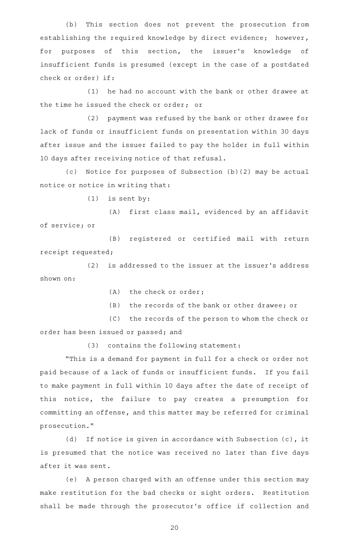(b) This section does not prevent the prosecution from establishing the required knowledge by direct evidence; however, for purposes of this section, the issuer's knowledge of insufficient funds is presumed (except in the case of a postdated check or order) if:

 $(1)$  he had no account with the bank or other drawee at the time he issued the check or order; or

(2) payment was refused by the bank or other drawee for lack of funds or insufficient funds on presentation within 30 days after issue and the issuer failed to pay the holder in full within 10 days after receiving notice of that refusal.

(c) Notice for purposes of Subsection (b)(2) may be actual notice or notice in writing that:

 $(1)$  is sent by:

(A) first class mail, evidenced by an affidavit of service; or

(B) registered or certified mail with return receipt requested;

(2) is addressed to the issuer at the issuer's address shown on:

(A) the check or order;

(B) the records of the bank or other drawee; or

(C) the records of the person to whom the check or order has been issued or passed; and

 $(3)$  contains the following statement:

"This is a demand for payment in full for a check or order not paid because of a lack of funds or insufficient funds. If you fail to make payment in full within 10 days after the date of receipt of this notice, the failure to pay creates a presumption for committing an offense, and this matter may be referred for criminal prosecution."

(d) If notice is given in accordance with Subsection (c), it is presumed that the notice was received no later than five days after it was sent.

(e) A person charged with an offense under this section may make restitution for the bad checks or sight orders. Restitution shall be made through the prosecutor 's office if collection and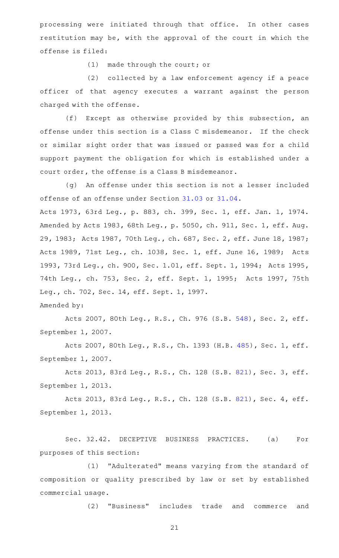processing were initiated through that office. In other cases restitution may be, with the approval of the court in which the offense is filed:

 $(1)$  made through the court; or

 $(2)$  collected by a law enforcement agency if a peace officer of that agency executes a warrant against the person charged with the offense.

(f) Except as otherwise provided by this subsection, an offense under this section is a Class C misdemeanor. If the check or similar sight order that was issued or passed was for a child support payment the obligation for which is established under a court order, the offense is a Class B misdemeanor.

(g) An offense under this section is not a lesser included offense of an offense under Section [31.03](http://www.statutes.legis.state.tx.us/GetStatute.aspx?Code=PE&Value=31.03) or [31.04](http://www.statutes.legis.state.tx.us/GetStatute.aspx?Code=PE&Value=31.04).

Acts 1973, 63rd Leg., p. 883, ch. 399, Sec. 1, eff. Jan. 1, 1974. Amended by Acts 1983, 68th Leg., p. 5050, ch. 911, Sec. 1, eff. Aug. 29, 1983; Acts 1987, 70th Leg., ch. 687, Sec. 2, eff. June 18, 1987; Acts 1989, 71st Leg., ch. 1038, Sec. 1, eff. June 16, 1989; Acts 1993, 73rd Leg., ch. 900, Sec. 1.01, eff. Sept. 1, 1994; Acts 1995, 74th Leg., ch. 753, Sec. 2, eff. Sept. 1, 1995; Acts 1997, 75th Leg., ch. 702, Sec. 14, eff. Sept. 1, 1997. Amended by:

Acts 2007, 80th Leg., R.S., Ch. 976 (S.B. [548](http://www.legis.state.tx.us/tlodocs/80R/billtext/html/SB00548F.HTM)), Sec. 2, eff. September 1, 2007.

Acts 2007, 80th Leg., R.S., Ch. 1393 (H.B. [485](http://www.legis.state.tx.us/tlodocs/80R/billtext/html/HB00485F.HTM)), Sec. 1, eff. September 1, 2007.

Acts 2013, 83rd Leg., R.S., Ch. 128 (S.B. [821](http://www.legis.state.tx.us/tlodocs/83R/billtext/html/SB00821F.HTM)), Sec. 3, eff. September 1, 2013.

Acts 2013, 83rd Leg., R.S., Ch. 128 (S.B. [821](http://www.legis.state.tx.us/tlodocs/83R/billtext/html/SB00821F.HTM)), Sec. 4, eff. September 1, 2013.

Sec. 32.42. DECEPTIVE BUSINESS PRACTICES. (a) For purposes of this section:

(1) "Adulterated" means varying from the standard of composition or quality prescribed by law or set by established commercial usage.

(2) "Business" includes trade and commerce and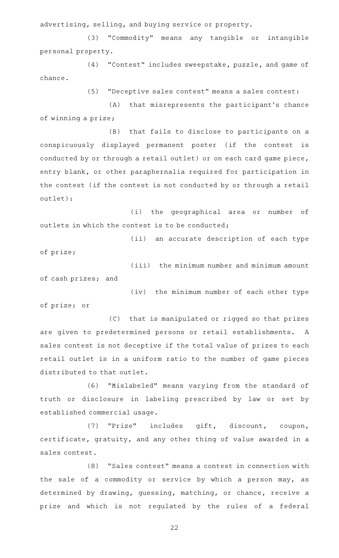advertising, selling, and buying service or property.

(3) "Commodity" means any tangible or intangible personal property.

(4) "Contest" includes sweepstake, puzzle, and game of chance.

(5) "Deceptive sales contest" means a sales contest:

(A) that misrepresents the participant's chance of winning a prize;

(B) that fails to disclose to participants on a conspicuously displayed permanent poster (if the contest is conducted by or through a retail outlet) or on each card game piece, entry blank, or other paraphernalia required for participation in the contest (if the contest is not conducted by or through a retail outlet):

(i) the geographical area or number of outlets in which the contest is to be conducted;

(ii) an accurate description of each type

(iv) the minimum number of each other type

of prize;

(iii) the minimum number and minimum amount of cash prizes; and

of prize; or

(C) that is manipulated or rigged so that prizes are given to predetermined persons or retail establishments. A sales contest is not deceptive if the total value of prizes to each retail outlet is in a uniform ratio to the number of game pieces distributed to that outlet.

(6) "Mislabeled" means varying from the standard of truth or disclosure in labeling prescribed by law or set by established commercial usage.

(7) "Prize" includes gift, discount, coupon, certificate, gratuity, and any other thing of value awarded in a sales contest.

(8) "Sales contest" means a contest in connection with the sale of a commodity or service by which a person may, as determined by drawing, guessing, matching, or chance, receive a prize and which is not regulated by the rules of a federal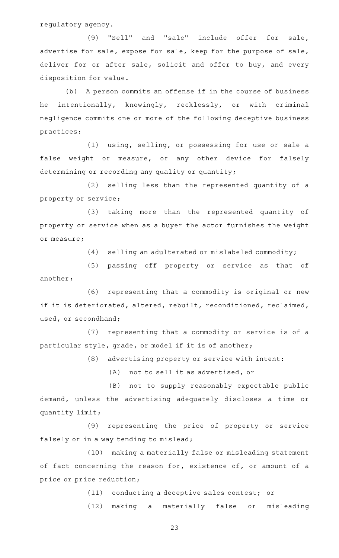regulatory agency.

(9) "Sell" and "sale" include offer for sale, advertise for sale, expose for sale, keep for the purpose of sale, deliver for or after sale, solicit and offer to buy, and every disposition for value.

(b) A person commits an offense if in the course of business he intentionally, knowingly, recklessly, or with criminal negligence commits one or more of the following deceptive business practices:

(1) using, selling, or possessing for use or sale a false weight or measure, or any other device for falsely determining or recording any quality or quantity;

(2) selling less than the represented quantity of a property or service;

(3) taking more than the represented quantity of property or service when as a buyer the actor furnishes the weight or measure;

 $(4)$  selling an adulterated or mislabeled commodity;

(5) passing off property or service as that of another;

(6) representing that a commodity is original or new if it is deteriorated, altered, rebuilt, reconditioned, reclaimed, used, or secondhand;

(7) representing that a commodity or service is of a particular style, grade, or model if it is of another;

(8) advertising property or service with intent:

(A) not to sell it as advertised, or

(B) not to supply reasonably expectable public demand, unless the advertising adequately discloses a time or quantity limit;

(9) representing the price of property or service falsely or in a way tending to mislead;

(10) making a materially false or misleading statement of fact concerning the reason for, existence of, or amount of a price or price reduction;

(11) conducting a deceptive sales contest; or

(12) making a materially false or misleading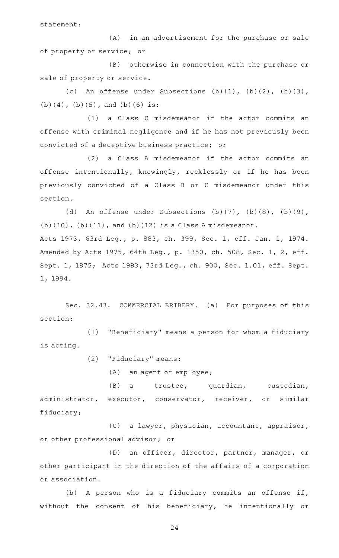statement:

(A) in an advertisement for the purchase or sale of property or service; or

(B) otherwise in connection with the purchase or sale of property or service.

(c) An offense under Subsections  $(b)(1)$ ,  $(b)(2)$ ,  $(b)(3)$ ,  $(b)(4)$ ,  $(b)(5)$ , and  $(b)(6)$  is:

(1) a Class C misdemeanor if the actor commits an offense with criminal negligence and if he has not previously been convicted of a deceptive business practice; or

(2) a Class A misdemeanor if the actor commits an offense intentionally, knowingly, recklessly or if he has been previously convicted of a Class B or C misdemeanor under this section.

(d) An offense under Subsections  $(b)(7)$ ,  $(b)(8)$ ,  $(b)(9)$ ,  $(b)(10)$ ,  $(b)(11)$ , and  $(b)(12)$  is a Class A misdemeanor. Acts 1973, 63rd Leg., p. 883, ch. 399, Sec. 1, eff. Jan. 1, 1974. Amended by Acts 1975, 64th Leg., p. 1350, ch. 508, Sec. 1, 2, eff. Sept. 1, 1975; Acts 1993, 73rd Leg., ch. 900, Sec. 1.01, eff. Sept. 1, 1994.

Sec. 32.43. COMMERCIAL BRIBERY. (a) For purposes of this section:

(1) "Beneficiary" means a person for whom a fiduciary is acting.

(2) "Fiduciary" means:

 $(A)$  an agent or employee;

(B) a trustee, guardian, custodian, administrator, executor, conservator, receiver, or similar fiduciary;

(C) a lawyer, physician, accountant, appraiser, or other professional advisor; or

(D) an officer, director, partner, manager, or other participant in the direction of the affairs of a corporation or association.

(b) A person who is a fiduciary commits an offense if, without the consent of his beneficiary, he intentionally or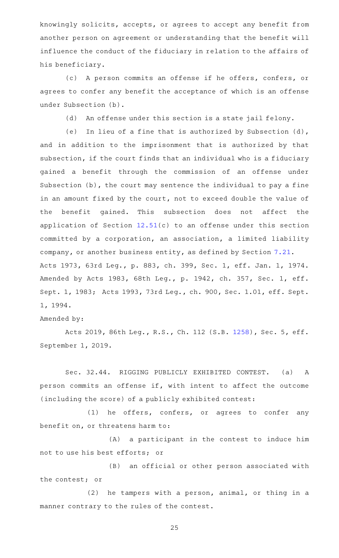knowingly solicits, accepts, or agrees to accept any benefit from another person on agreement or understanding that the benefit will influence the conduct of the fiduciary in relation to the affairs of his beneficiary.

(c) A person commits an offense if he offers, confers, or agrees to confer any benefit the acceptance of which is an offense under Subsection (b).

(d) An offense under this section is a state jail felony.

(e) In lieu of a fine that is authorized by Subsection  $(d)$ , and in addition to the imprisonment that is authorized by that subsection, if the court finds that an individual who is a fiduciary gained a benefit through the commission of an offense under Subsection (b), the court may sentence the individual to pay a fine in an amount fixed by the court, not to exceed double the value of the benefit gained. This subsection does not affect the application of Section [12.51](http://www.statutes.legis.state.tx.us/GetStatute.aspx?Code=PE&Value=12.51)(c) to an offense under this section committed by a corporation, an association, a limited liability company, or another business entity, as defined by Section [7.21.](http://www.statutes.legis.state.tx.us/GetStatute.aspx?Code=PE&Value=7.21) Acts 1973, 63rd Leg., p. 883, ch. 399, Sec. 1, eff. Jan. 1, 1974. Amended by Acts 1983, 68th Leg., p. 1942, ch. 357, Sec. 1, eff. Sept. 1, 1983; Acts 1993, 73rd Leg., ch. 900, Sec. 1.01, eff. Sept. 1, 1994.

Amended by:

Acts 2019, 86th Leg., R.S., Ch. 112 (S.B. [1258](http://www.legis.state.tx.us/tlodocs/86R/billtext/html/SB01258F.HTM)), Sec. 5, eff. September 1, 2019.

Sec. 32.44. RIGGING PUBLICLY EXHIBITED CONTEST. (a) A person commits an offense if, with intent to affect the outcome (including the score) of a publicly exhibited contest:

 $(1)$  he offers, confers, or agrees to confer any benefit on, or threatens harm to:

(A) a participant in the contest to induce him not to use his best efforts; or

(B) an official or other person associated with the contest; or

 $(2)$  he tampers with a person, animal, or thing in a manner contrary to the rules of the contest.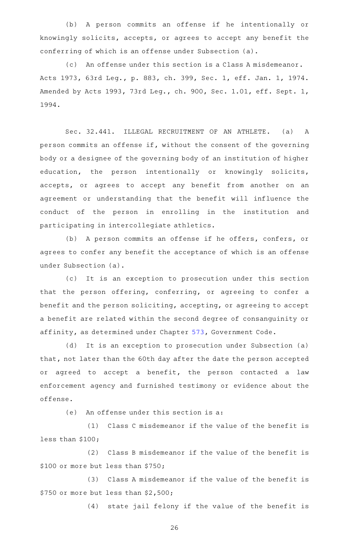(b) A person commits an offense if he intentionally or knowingly solicits, accepts, or agrees to accept any benefit the conferring of which is an offense under Subsection (a).

(c) An offense under this section is a Class A misdemeanor. Acts 1973, 63rd Leg., p. 883, ch. 399, Sec. 1, eff. Jan. 1, 1974. Amended by Acts 1993, 73rd Leg., ch. 900, Sec. 1.01, eff. Sept. 1, 1994.

Sec. 32.441. ILLEGAL RECRUITMENT OF AN ATHLETE. (a) A person commits an offense if, without the consent of the governing body or a designee of the governing body of an institution of higher education, the person intentionally or knowingly solicits, accepts, or agrees to accept any benefit from another on an agreement or understanding that the benefit will influence the conduct of the person in enrolling in the institution and participating in intercollegiate athletics.

(b) A person commits an offense if he offers, confers, or agrees to confer any benefit the acceptance of which is an offense under Subsection (a).

(c) It is an exception to prosecution under this section that the person offering, conferring, or agreeing to confer a benefit and the person soliciting, accepting, or agreeing to accept a benefit are related within the second degree of consanguinity or affinity, as determined under Chapter [573,](http://www.statutes.legis.state.tx.us/GetStatute.aspx?Code=GV&Value=573) Government Code.

(d) It is an exception to prosecution under Subsection (a) that, not later than the 60th day after the date the person accepted or agreed to accept a benefit, the person contacted a law enforcement agency and furnished testimony or evidence about the offense.

(e) An offense under this section is a:

 $(1)$  Class C misdemeanor if the value of the benefit is less than \$100;

 $(2)$  Class B misdemeanor if the value of the benefit is \$100 or more but less than \$750;

(3) Class A misdemeanor if the value of the benefit is \$750 or more but less than \$2,500;

(4) state jail felony if the value of the benefit is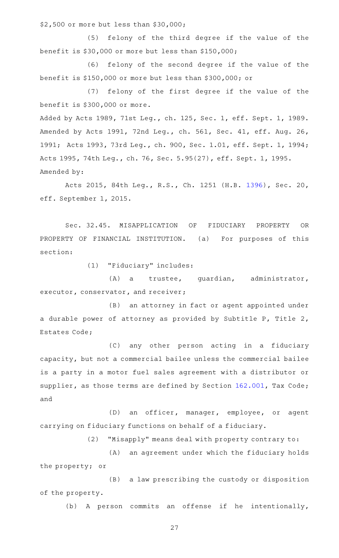\$2,500 or more but less than \$30,000;

(5) felony of the third degree if the value of the benefit is \$30,000 or more but less than \$150,000;

(6) felony of the second degree if the value of the benefit is \$150,000 or more but less than \$300,000; or

(7) felony of the first degree if the value of the benefit is \$300,000 or more.

Added by Acts 1989, 71st Leg., ch. 125, Sec. 1, eff. Sept. 1, 1989. Amended by Acts 1991, 72nd Leg., ch. 561, Sec. 41, eff. Aug. 26, 1991; Acts 1993, 73rd Leg., ch. 900, Sec. 1.01, eff. Sept. 1, 1994; Acts 1995, 74th Leg., ch. 76, Sec. 5.95(27), eff. Sept. 1, 1995. Amended by:

Acts 2015, 84th Leg., R.S., Ch. 1251 (H.B. [1396](http://www.legis.state.tx.us/tlodocs/84R/billtext/html/HB01396F.HTM)), Sec. 20, eff. September 1, 2015.

Sec. 32.45. MISAPPLICATION OF FIDUCIARY PROPERTY OR PROPERTY OF FINANCIAL INSTITUTION. (a) For purposes of this section:

(1) "Fiduciary" includes:

(A) a trustee, guardian, administrator, executor, conservator, and receiver;

(B) an attorney in fact or agent appointed under a durable power of attorney as provided by Subtitle P, Title 2, Estates Code;

(C) any other person acting in a fiduciary capacity, but not a commercial bailee unless the commercial bailee is a party in a motor fuel sales agreement with a distributor or supplier, as those terms are defined by Section [162.001](http://www.statutes.legis.state.tx.us/GetStatute.aspx?Code=TX&Value=162.001), Tax Code; and

(D) an officer, manager, employee, or agent carrying on fiduciary functions on behalf of a fiduciary.

(2) "Misapply" means deal with property contrary to:

(A) an agreement under which the fiduciary holds the property; or

(B) a law prescribing the custody or disposition of the property.

(b) A person commits an offense if he intentionally,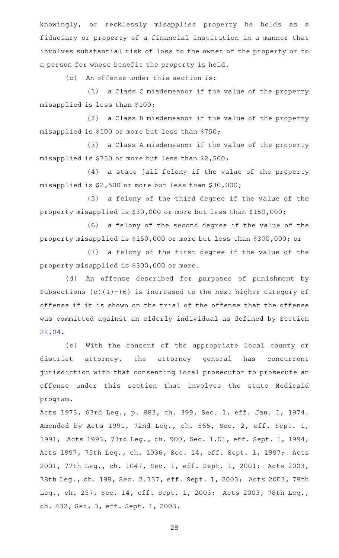knowingly, or recklessly misapplies property he holds as a fiduciary or property of a financial institution in a manner that involves substantial risk of loss to the owner of the property or to a person for whose benefit the property is held.

(c) An offense under this section is:

(1) a Class C misdemeanor if the value of the property misapplied is less than \$100;

(2) a Class B misdemeanor if the value of the property misapplied is \$100 or more but less than \$750;

(3) a Class A misdemeanor if the value of the property misapplied is \$750 or more but less than \$2,500;

(4) a state jail felony if the value of the property misapplied is \$2,500 or more but less than \$30,000;

(5) a felony of the third degree if the value of the property misapplied is \$30,000 or more but less than \$150,000;

(6) a felony of the second degree if the value of the property misapplied is \$150,000 or more but less than \$300,000; or

(7) a felony of the first degree if the value of the property misapplied is \$300,000 or more.

(d) An offense described for purposes of punishment by Subsections  $(c)(1)-(6)$  is increased to the next higher category of offense if it is shown on the trial of the offense that the offense was committed against an elderly individual as defined by Section [22.04.](http://www.statutes.legis.state.tx.us/GetStatute.aspx?Code=PE&Value=22.04)

(e) With the consent of the appropriate local county or district attorney, the attorney general has concurrent jurisdiction with that consenting local prosecutor to prosecute an offense under this section that involves the state Medicaid program.

Acts 1973, 63rd Leg., p. 883, ch. 399, Sec. 1, eff. Jan. 1, 1974. Amended by Acts 1991, 72nd Leg., ch. 565, Sec. 2, eff. Sept. 1, 1991; Acts 1993, 73rd Leg., ch. 900, Sec. 1.01, eff. Sept. 1, 1994; Acts 1997, 75th Leg., ch. 1036, Sec. 14, eff. Sept. 1, 1997; Acts 2001, 77th Leg., ch. 1047, Sec. 1, eff. Sept. 1, 2001; Acts 2003, 78th Leg., ch. 198, Sec. 2.137, eff. Sept. 1, 2003; Acts 2003, 78th Leg., ch. 257, Sec. 14, eff. Sept. 1, 2003; Acts 2003, 78th Leg., ch. 432, Sec. 3, eff. Sept. 1, 2003.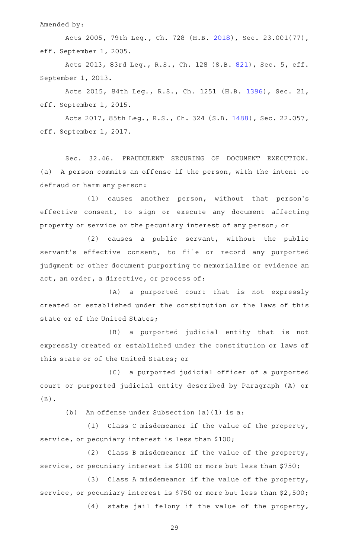Amended by:

Acts 2005, 79th Leg., Ch. 728 (H.B. [2018\)](http://www.legis.state.tx.us/tlodocs/79R/billtext/html/HB02018F.HTM), Sec. 23.001(77), eff. September 1, 2005.

Acts 2013, 83rd Leg., R.S., Ch. 128 (S.B. [821](http://www.legis.state.tx.us/tlodocs/83R/billtext/html/SB00821F.HTM)), Sec. 5, eff. September 1, 2013.

Acts 2015, 84th Leg., R.S., Ch. 1251 (H.B. [1396](http://www.legis.state.tx.us/tlodocs/84R/billtext/html/HB01396F.HTM)), Sec. 21, eff. September 1, 2015.

Acts 2017, 85th Leg., R.S., Ch. 324 (S.B. [1488\)](http://www.legis.state.tx.us/tlodocs/85R/billtext/html/SB01488F.HTM), Sec. 22.057, eff. September 1, 2017.

Sec. 32.46. FRAUDULENT SECURING OF DOCUMENT EXECUTION. (a) A person commits an offense if the person, with the intent to defraud or harm any person:

(1) causes another person, without that person's effective consent, to sign or execute any document affecting property or service or the pecuniary interest of any person; or

 $(2)$  causes a public servant, without the public servant's effective consent, to file or record any purported judgment or other document purporting to memorialize or evidence an act, an order, a directive, or process of:

(A) a purported court that is not expressly created or established under the constitution or the laws of this state or of the United States;

(B) a purported judicial entity that is not expressly created or established under the constitution or laws of this state or of the United States; or

(C) a purported judicial officer of a purported court or purported judicial entity described by Paragraph (A) or (B).

(b) An offense under Subsection  $(a)(1)$  is a:

(1) Class C misdemeanor if the value of the property, service, or pecuniary interest is less than \$100;

 $(2)$  Class B misdemeanor if the value of the property, service, or pecuniary interest is \$100 or more but less than \$750;

(3) Class A misdemeanor if the value of the property, service, or pecuniary interest is \$750 or more but less than \$2,500;

 $(4)$  state jail felony if the value of the property,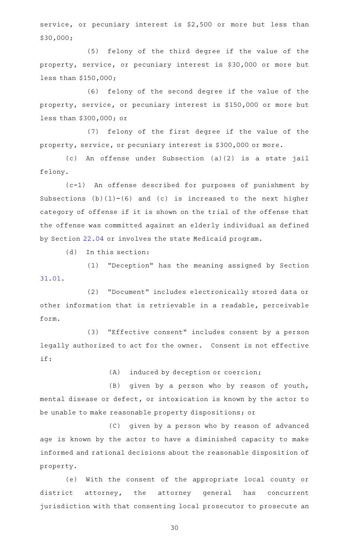service, or pecuniary interest is \$2,500 or more but less than \$30,000;

(5) felony of the third degree if the value of the property, service, or pecuniary interest is \$30,000 or more but less than \$150,000;

(6) felony of the second degree if the value of the property, service, or pecuniary interest is \$150,000 or more but less than \$300,000; or

(7) felony of the first degree if the value of the property, service, or pecuniary interest is \$300,000 or more.

(c) An offense under Subsection (a)(2) is a state jail felony.

(c-1)AAAn offense described for purposes of punishment by Subsections  $(b)(1)-(6)$  and  $(c)$  is increased to the next higher category of offense if it is shown on the trial of the offense that the offense was committed against an elderly individual as defined by Section [22.04](http://www.statutes.legis.state.tx.us/GetStatute.aspx?Code=PE&Value=22.04) or involves the state Medicaid program.

 $(d)$  In this section:

(1) "Deception" has the meaning assigned by Section [31.01.](http://www.statutes.legis.state.tx.us/GetStatute.aspx?Code=PE&Value=31.01)

(2) "Document" includes electronically stored data or other information that is retrievable in a readable, perceivable form.

(3) "Effective consent" includes consent by a person legally authorized to act for the owner. Consent is not effective if:

 $(A)$  induced by deception or coercion;

(B) given by a person who by reason of youth, mental disease or defect, or intoxication is known by the actor to be unable to make reasonable property dispositions; or

(C) given by a person who by reason of advanced age is known by the actor to have a diminished capacity to make informed and rational decisions about the reasonable disposition of property.

(e) With the consent of the appropriate local county or district attorney, the attorney general has concurrent jurisdiction with that consenting local prosecutor to prosecute an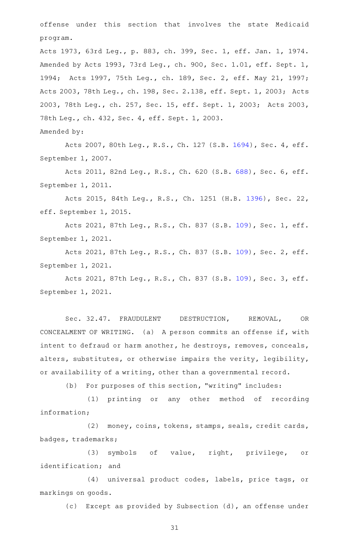offense under this section that involves the state Medicaid program.

Acts 1973, 63rd Leg., p. 883, ch. 399, Sec. 1, eff. Jan. 1, 1974. Amended by Acts 1993, 73rd Leg., ch. 900, Sec. 1.01, eff. Sept. 1, 1994; Acts 1997, 75th Leg., ch. 189, Sec. 2, eff. May 21, 1997; Acts 2003, 78th Leg., ch. 198, Sec. 2.138, eff. Sept. 1, 2003; Acts 2003, 78th Leg., ch. 257, Sec. 15, eff. Sept. 1, 2003; Acts 2003, 78th Leg., ch. 432, Sec. 4, eff. Sept. 1, 2003.

Amended by:

Acts 2007, 80th Leg., R.S., Ch. 127 (S.B. [1694](http://www.legis.state.tx.us/tlodocs/80R/billtext/html/SB01694F.HTM)), Sec. 4, eff. September 1, 2007.

Acts 2011, 82nd Leg., R.S., Ch. 620 (S.B. [688](http://www.legis.state.tx.us/tlodocs/82R/billtext/html/SB00688F.HTM)), Sec. 6, eff. September 1, 2011.

Acts 2015, 84th Leg., R.S., Ch. 1251 (H.B. [1396](http://www.legis.state.tx.us/tlodocs/84R/billtext/html/HB01396F.HTM)), Sec. 22, eff. September 1, 2015.

Acts 2021, 87th Leg., R.S., Ch. 837 (S.B. [109](http://www.legis.state.tx.us/tlodocs/87R/billtext/html/SB00109F.HTM)), Sec. 1, eff. September 1, 2021.

Acts 2021, 87th Leg., R.S., Ch. 837 (S.B. [109](http://www.legis.state.tx.us/tlodocs/87R/billtext/html/SB00109F.HTM)), Sec. 2, eff. September 1, 2021.

Acts 2021, 87th Leg., R.S., Ch. 837 (S.B. [109](http://www.legis.state.tx.us/tlodocs/87R/billtext/html/SB00109F.HTM)), Sec. 3, eff. September 1, 2021.

Sec. 32.47. FRAUDULENT DESTRUCTION, REMOVAL, OR CONCEALMENT OF WRITING. (a) A person commits an offense if, with intent to defraud or harm another, he destroys, removes, conceals, alters, substitutes, or otherwise impairs the verity, legibility, or availability of a writing, other than a governmental record.

(b) For purposes of this section, "writing" includes:

(1) printing or any other method of recording information;

(2) money, coins, tokens, stamps, seals, credit cards, badges, trademarks;

(3) symbols of value, right, privilege, or identification; and

(4) universal product codes, labels, price tags, or markings on goods.

(c) Except as provided by Subsection (d), an offense under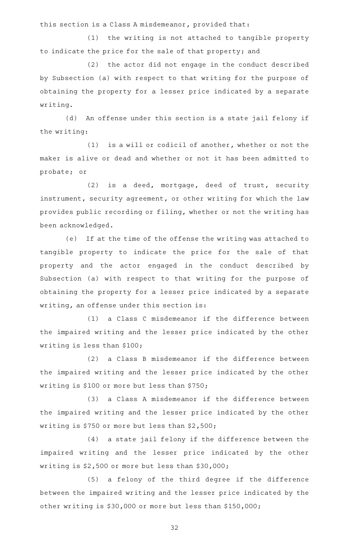this section is a Class A misdemeanor, provided that:

(1) the writing is not attached to tangible property to indicate the price for the sale of that property; and

(2) the actor did not engage in the conduct described by Subsection (a) with respect to that writing for the purpose of obtaining the property for a lesser price indicated by a separate writing.

(d) An offense under this section is a state jail felony if the writing:

 $(1)$  is a will or codicil of another, whether or not the maker is alive or dead and whether or not it has been admitted to probate; or

(2) is a deed, mortgage, deed of trust, security instrument, security agreement, or other writing for which the law provides public recording or filing, whether or not the writing has been acknowledged.

(e) If at the time of the offense the writing was attached to tangible property to indicate the price for the sale of that property and the actor engaged in the conduct described by Subsection (a) with respect to that writing for the purpose of obtaining the property for a lesser price indicated by a separate writing, an offense under this section is:

(1) a Class C misdemeanor if the difference between the impaired writing and the lesser price indicated by the other writing is less than \$100;

(2) a Class B misdemeanor if the difference between the impaired writing and the lesser price indicated by the other writing is \$100 or more but less than \$750;

(3) a Class A misdemeanor if the difference between the impaired writing and the lesser price indicated by the other writing is \$750 or more but less than \$2,500;

(4) a state jail felony if the difference between the impaired writing and the lesser price indicated by the other writing is \$2,500 or more but less than \$30,000;

(5) a felony of the third degree if the difference between the impaired writing and the lesser price indicated by the other writing is \$30,000 or more but less than \$150,000;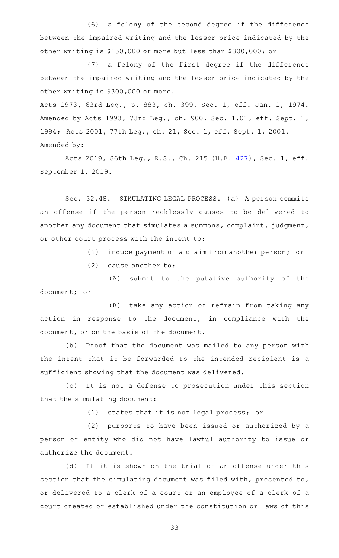(6) a felony of the second degree if the difference between the impaired writing and the lesser price indicated by the other writing is \$150,000 or more but less than \$300,000; or

(7) a felony of the first degree if the difference between the impaired writing and the lesser price indicated by the other writing is \$300,000 or more.

Acts 1973, 63rd Leg., p. 883, ch. 399, Sec. 1, eff. Jan. 1, 1974. Amended by Acts 1993, 73rd Leg., ch. 900, Sec. 1.01, eff. Sept. 1, 1994; Acts 2001, 77th Leg., ch. 21, Sec. 1, eff. Sept. 1, 2001. Amended by:

Acts 2019, 86th Leg., R.S., Ch. 215 (H.B. [427](http://www.legis.state.tx.us/tlodocs/86R/billtext/html/HB00427F.HTM)), Sec. 1, eff. September 1, 2019.

Sec. 32.48. SIMULATING LEGAL PROCESS. (a) A person commits an offense if the person recklessly causes to be delivered to another any document that simulates a summons, complaint, judgment, or other court process with the intent to:

(1) induce payment of a claim from another person; or

 $(2)$  cause another to:

(A) submit to the putative authority of the document; or

(B) take any action or refrain from taking any action in response to the document, in compliance with the document, or on the basis of the document.

(b) Proof that the document was mailed to any person with the intent that it be forwarded to the intended recipient is a sufficient showing that the document was delivered.

(c) It is not a defense to prosecution under this section that the simulating document:

(1) states that it is not legal process; or

(2) purports to have been issued or authorized by a person or entity who did not have lawful authority to issue or authorize the document.

(d) If it is shown on the trial of an offense under this section that the simulating document was filed with, presented to, or delivered to a clerk of a court or an employee of a clerk of a court created or established under the constitution or laws of this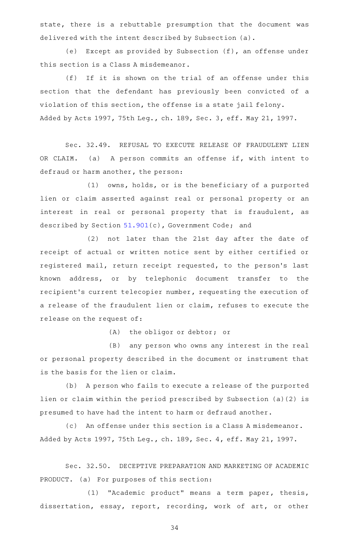state, there is a rebuttable presumption that the document was delivered with the intent described by Subsection (a).

(e) Except as provided by Subsection (f), an offense under this section is a Class A misdemeanor.

(f) If it is shown on the trial of an offense under this section that the defendant has previously been convicted of a violation of this section, the offense is a state jail felony. Added by Acts 1997, 75th Leg., ch. 189, Sec. 3, eff. May 21, 1997.

Sec. 32.49. REFUSAL TO EXECUTE RELEASE OF FRAUDULENT LIEN OR CLAIM. (a) A person commits an offense if, with intent to defraud or harm another, the person:

 $(1)$  owns, holds, or is the beneficiary of a purported lien or claim asserted against real or personal property or an interest in real or personal property that is fraudulent, as described by Section [51.901](http://www.statutes.legis.state.tx.us/GetStatute.aspx?Code=GV&Value=51.901)(c), Government Code; and

(2) not later than the 21st day after the date of receipt of actual or written notice sent by either certified or registered mail, return receipt requested, to the person's last known address, or by telephonic document transfer to the recipient 's current telecopier number, requesting the execution of a release of the fraudulent lien or claim, refuses to execute the release on the request of:

(A) the obligor or debtor; or

(B) any person who owns any interest in the real or personal property described in the document or instrument that is the basis for the lien or claim.

(b) A person who fails to execute a release of the purported lien or claim within the period prescribed by Subsection (a)(2) is presumed to have had the intent to harm or defraud another.

(c) An offense under this section is a Class A misdemeanor. Added by Acts 1997, 75th Leg., ch. 189, Sec. 4, eff. May 21, 1997.

Sec. 32.50. DECEPTIVE PREPARATION AND MARKETING OF ACADEMIC PRODUCT. (a) For purposes of this section:

(1) "Academic product" means a term paper, thesis, dissertation, essay, report, recording, work of art, or other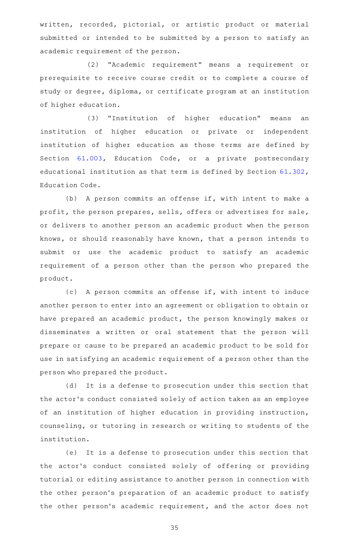written, recorded, pictorial, or artistic product or material submitted or intended to be submitted by a person to satisfy an academic requirement of the person.

(2) "Academic requirement" means a requirement or prerequisite to receive course credit or to complete a course of study or degree, diploma, or certificate program at an institution of higher education.

(3) "Institution of higher education" means an institution of higher education or private or independent institution of higher education as those terms are defined by Section [61.003,](http://www.statutes.legis.state.tx.us/GetStatute.aspx?Code=ED&Value=61.003) Education Code, or a private postsecondary educational institution as that term is defined by Section [61.302](http://www.statutes.legis.state.tx.us/GetStatute.aspx?Code=ED&Value=61.302), Education Code.

(b) A person commits an offense if, with intent to make a profit, the person prepares, sells, offers or advertises for sale, or delivers to another person an academic product when the person knows, or should reasonably have known, that a person intends to submit or use the academic product to satisfy an academic requirement of a person other than the person who prepared the product.

(c) A person commits an offense if, with intent to induce another person to enter into an agreement or obligation to obtain or have prepared an academic product, the person knowingly makes or disseminates a written or oral statement that the person will prepare or cause to be prepared an academic product to be sold for use in satisfying an academic requirement of a person other than the person who prepared the product.

(d) It is a defense to prosecution under this section that the actor 's conduct consisted solely of action taken as an employee of an institution of higher education in providing instruction, counseling, or tutoring in research or writing to students of the institution.

(e) It is a defense to prosecution under this section that the actor 's conduct consisted solely of offering or providing tutorial or editing assistance to another person in connection with the other person's preparation of an academic product to satisfy the other person's academic requirement, and the actor does not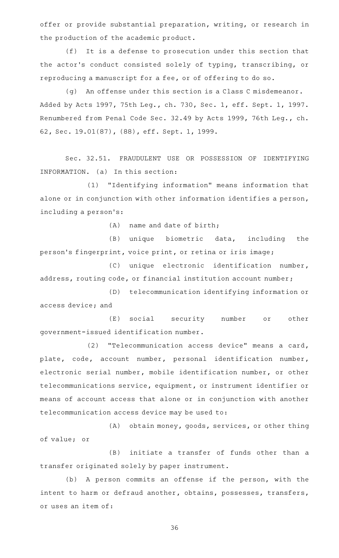offer or provide substantial preparation, writing, or research in the production of the academic product.

(f) It is a defense to prosecution under this section that the actor 's conduct consisted solely of typing, transcribing, or reproducing a manuscript for a fee, or of offering to do so.

 $(q)$  An offense under this section is a Class C misdemeanor. Added by Acts 1997, 75th Leg., ch. 730, Sec. 1, eff. Sept. 1, 1997. Renumbered from Penal Code Sec. 32.49 by Acts 1999, 76th Leg., ch. 62, Sec. 19.01(87), (88), eff. Sept. 1, 1999.

Sec. 32.51. FRAUDULENT USE OR POSSESSION OF IDENTIFYING INFORMATION. (a) In this section:

(1) "Identifying information" means information that alone or in conjunction with other information identifies a person, including a person 's:

 $(A)$  name and date of birth;

(B) unique biometric data, including the person 's fingerprint, voice print, or retina or iris image;

(C) unique electronic identification number, address, routing code, or financial institution account number;

(D) telecommunication identifying information or access device; and

(E) social security number or other government-issued identification number.

(2) "Telecommunication access device" means a card, plate, code, account number, personal identification number, electronic serial number, mobile identification number, or other telecommunications service, equipment, or instrument identifier or means of account access that alone or in conjunction with another telecommunication access device may be used to:

(A) obtain money, goods, services, or other thing of value; or

(B) initiate a transfer of funds other than a transfer originated solely by paper instrument.

(b) A person commits an offense if the person, with the intent to harm or defraud another, obtains, possesses, transfers, or uses an item of: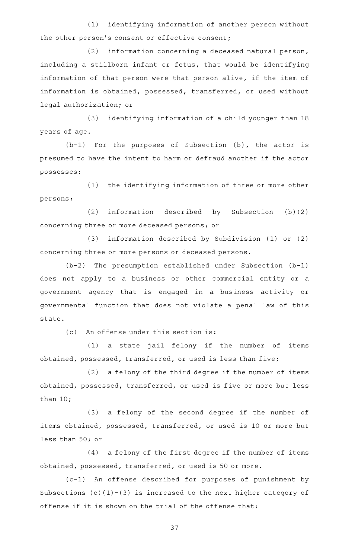(1) identifying information of another person without the other person's consent or effective consent;

 $(2)$  information concerning a deceased natural person, including a stillborn infant or fetus, that would be identifying information of that person were that person alive, if the item of information is obtained, possessed, transferred, or used without legal authorization; or

(3) identifying information of a child younger than 18 years of age.

 $(b-1)$  For the purposes of Subsection (b), the actor is presumed to have the intent to harm or defraud another if the actor possesses:

(1) the identifying information of three or more other persons;

(2) information described by Subsection  $(b)(2)$ concerning three or more deceased persons; or

(3) information described by Subdivision (1) or (2) concerning three or more persons or deceased persons.

 $(b-2)$  The presumption established under Subsection (b-1) does not apply to a business or other commercial entity or a government agency that is engaged in a business activity or governmental function that does not violate a penal law of this state.

(c) An offense under this section is:

 $(1)$  a state jail felony if the number of items obtained, possessed, transferred, or used is less than five;

 $(2)$  a felony of the third degree if the number of items obtained, possessed, transferred, or used is five or more but less than 10;

(3) a felony of the second degree if the number of items obtained, possessed, transferred, or used is 10 or more but less than 50; or

(4) a felony of the first degree if the number of items obtained, possessed, transferred, or used is 50 or more.

(c-1) An offense described for purposes of punishment by Subsections  $(c)(1)-(3)$  is increased to the next higher category of offense if it is shown on the trial of the offense that: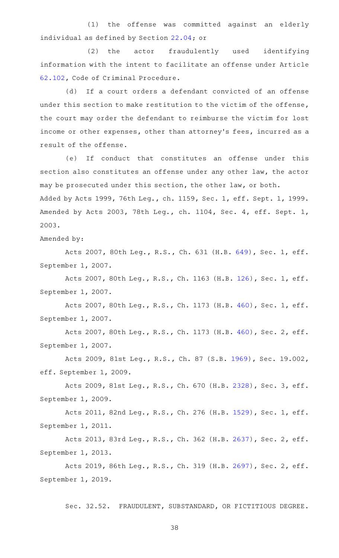(1) the offense was committed against an elderly individual as defined by Section [22.04](http://www.statutes.legis.state.tx.us/GetStatute.aspx?Code=PE&Value=22.04); or

(2) the actor fraudulently used identifying information with the intent to facilitate an offense under Article [62.102](http://www.statutes.legis.state.tx.us/GetStatute.aspx?Code=CR&Value=62.102), Code of Criminal Procedure.

(d) If a court orders a defendant convicted of an offense under this section to make restitution to the victim of the offense, the court may order the defendant to reimburse the victim for lost income or other expenses, other than attorney 's fees, incurred as a result of the offense.

(e) If conduct that constitutes an offense under this section also constitutes an offense under any other law, the actor may be prosecuted under this section, the other law, or both. Added by Acts 1999, 76th Leg., ch. 1159, Sec. 1, eff. Sept. 1, 1999. Amended by Acts 2003, 78th Leg., ch. 1104, Sec. 4, eff. Sept. 1, 2003.

Amended by:

Acts 2007, 80th Leg., R.S., Ch. 631 (H.B. [649](http://www.legis.state.tx.us/tlodocs/80R/billtext/html/HB00649F.HTM)), Sec. 1, eff. September 1, 2007.

Acts 2007, 80th Leg., R.S., Ch. 1163 (H.B. [126](http://www.legis.state.tx.us/tlodocs/80R/billtext/html/HB00126F.HTM)), Sec. 1, eff. September 1, 2007.

Acts 2007, 80th Leg., R.S., Ch. 1173 (H.B. [460](http://www.legis.state.tx.us/tlodocs/80R/billtext/html/HB00460F.HTM)), Sec. 1, eff. September 1, 2007.

Acts 2007, 80th Leg., R.S., Ch. 1173 (H.B. [460](http://www.legis.state.tx.us/tlodocs/80R/billtext/html/HB00460F.HTM)), Sec. 2, eff. September 1, 2007.

Acts 2009, 81st Leg., R.S., Ch. 87 (S.B. [1969](http://www.legis.state.tx.us/tlodocs/81R/billtext/html/SB01969F.HTM)), Sec. 19.002, eff. September 1, 2009.

Acts 2009, 81st Leg., R.S., Ch. 670 (H.B. [2328](http://www.legis.state.tx.us/tlodocs/81R/billtext/html/HB02328F.HTM)), Sec. 3, eff. September 1, 2009.

Acts 2011, 82nd Leg., R.S., Ch. 276 (H.B. [1529](http://www.legis.state.tx.us/tlodocs/82R/billtext/html/HB01529F.HTM)), Sec. 1, eff. September 1, 2011.

Acts 2013, 83rd Leg., R.S., Ch. 362 (H.B. [2637](http://www.legis.state.tx.us/tlodocs/83R/billtext/html/HB02637F.HTM)), Sec. 2, eff. September 1, 2013.

Acts 2019, 86th Leg., R.S., Ch. 319 (H.B. [2697](http://www.legis.state.tx.us/tlodocs/86R/billtext/html/HB02697F.HTM)), Sec. 2, eff. September 1, 2019.

Sec. 32.52. FRAUDULENT, SUBSTANDARD, OR FICTITIOUS DEGREE.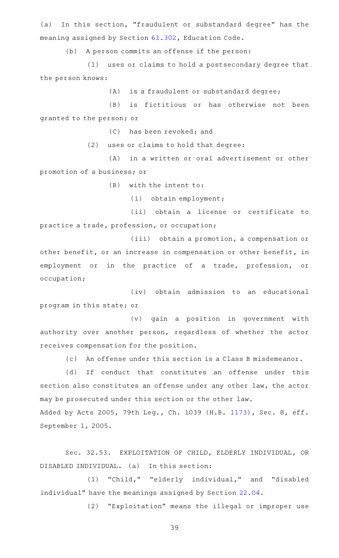(a) In this section, "fraudulent or substandard degree" has the meaning assigned by Section [61.302,](http://www.statutes.legis.state.tx.us/GetStatute.aspx?Code=ED&Value=61.302) Education Code.

(b) A person commits an offense if the person:

(1) uses or claims to hold a postsecondary degree that the person knows:

 $(A)$  is a fraudulent or substandard degree;

(B) is fictitious or has otherwise not been granted to the person; or

(C) has been revoked; and

 $(2)$  uses or claims to hold that degree:

(A) in a written or oral advertisement or other promotion of a business; or

 $(B)$  with the intent to:

(i) obtain employment;

(ii) obtain a license or certificate to practice a trade, profession, or occupation;

(iii) obtain a promotion, a compensation or other benefit, or an increase in compensation or other benefit, in employment or in the practice of a trade, profession, or occupation;

(iv) obtain admission to an educational program in this state; or

(v) gain a position in government with authority over another person, regardless of whether the actor receives compensation for the position.

(c) An offense under this section is a Class B misdemeanor.

(d) If conduct that constitutes an offense under this section also constitutes an offense under any other law, the actor may be prosecuted under this section or the other law.

Added by Acts 2005, 79th Leg., Ch. 1039 (H.B. [1173\)](http://www.legis.state.tx.us/tlodocs/79R/billtext/html/HB01173F.HTM), Sec. 8, eff. September 1, 2005.

Sec. 32.53. EXPLOITATION OF CHILD, ELDERLY INDIVIDUAL, OR DISABLED INDIVIDUAL. (a) In this section:

(1) "Child," "elderly individual," and "disabled individual" have the meanings assigned by Section [22.04.](http://www.statutes.legis.state.tx.us/GetStatute.aspx?Code=PE&Value=22.04)

(2) "Exploitation" means the illegal or improper use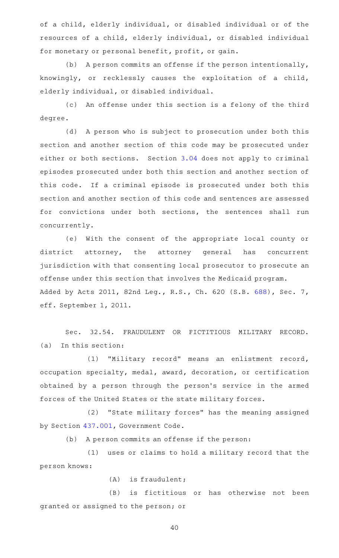of a child, elderly individual, or disabled individual or of the resources of a child, elderly individual, or disabled individual for monetary or personal benefit, profit, or gain.

(b) A person commits an offense if the person intentionally, knowingly, or recklessly causes the exploitation of a child, elderly individual, or disabled individual.

(c) An offense under this section is a felony of the third degree.

(d) A person who is subject to prosecution under both this section and another section of this code may be prosecuted under either or both sections. Section [3.04](http://www.statutes.legis.state.tx.us/GetStatute.aspx?Code=PE&Value=3.04) does not apply to criminal episodes prosecuted under both this section and another section of this code. If a criminal episode is prosecuted under both this section and another section of this code and sentences are assessed for convictions under both sections, the sentences shall run concurrently.

(e) With the consent of the appropriate local county or district attorney, the attorney general has concurrent jurisdiction with that consenting local prosecutor to prosecute an offense under this section that involves the Medicaid program. Added by Acts 2011, 82nd Leg., R.S., Ch. 620 (S.B. [688](http://www.legis.state.tx.us/tlodocs/82R/billtext/html/SB00688F.HTM)), Sec. 7, eff. September 1, 2011.

Sec. 32.54. FRAUDULENT OR FICTITIOUS MILITARY RECORD.  $(a)$  In this section:

(1) "Military record" means an enlistment record, occupation specialty, medal, award, decoration, or certification obtained by a person through the person's service in the armed forces of the United States or the state military forces.

(2) "State military forces" has the meaning assigned by Section [437.001,](http://www.statutes.legis.state.tx.us/GetStatute.aspx?Code=GV&Value=437.001) Government Code.

(b) A person commits an offense if the person:

(1) uses or claims to hold a military record that the person knows:

 $(A)$  is fraudulent;

(B) is fictitious or has otherwise not been granted or assigned to the person; or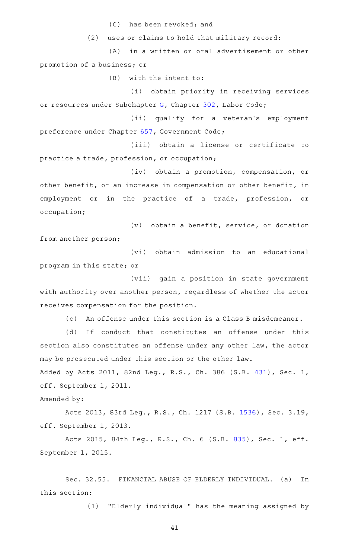(C) has been revoked; and

 $(2)$  uses or claims to hold that military record:

(A) in a written or oral advertisement or other promotion of a business; or

 $(B)$  with the intent to:

(i) obtain priority in receiving services or resources under Subchapter [G,](http://www.statutes.legis.state.tx.us/GetStatute.aspx?Code=LA&Value=302.151) Chapter [302](http://www.statutes.legis.state.tx.us/GetStatute.aspx?Code=LA&Value=302), Labor Code;

(ii) qualify for a veteran's employment preference under Chapter [657,](http://www.statutes.legis.state.tx.us/GetStatute.aspx?Code=GV&Value=657) Government Code;

(iii) obtain a license or certificate to practice a trade, profession, or occupation;

(iv) obtain a promotion, compensation, or other benefit, or an increase in compensation or other benefit, in employment or in the practice of a trade, profession, or occupation;

 $(v)$  obtain a benefit, service, or donation from another person;

(vi) obtain admission to an educational program in this state; or

(vii) gain a position in state government with authority over another person, regardless of whether the actor receives compensation for the position.

 $(c)$  An offense under this section is a Class B misdemeanor.

(d) If conduct that constitutes an offense under this section also constitutes an offense under any other law, the actor may be prosecuted under this section or the other law.

Added by Acts 2011, 82nd Leg., R.S., Ch. 386 (S.B. [431](http://www.legis.state.tx.us/tlodocs/82R/billtext/html/SB00431F.HTM)), Sec. 1, eff. September 1, 2011.

Amended by:

Acts 2013, 83rd Leg., R.S., Ch. 1217 (S.B. [1536](http://www.legis.state.tx.us/tlodocs/83R/billtext/html/SB01536F.HTM)), Sec. 3.19, eff. September 1, 2013.

Acts 2015, 84th Leg., R.S., Ch. 6 (S.B. [835](http://www.legis.state.tx.us/tlodocs/84R/billtext/html/SB00835F.HTM)), Sec. 1, eff. September 1, 2015.

Sec. 32.55. FINANCIAL ABUSE OF ELDERLY INDIVIDUAL. (a) In this section:

(1) "Elderly individual" has the meaning assigned by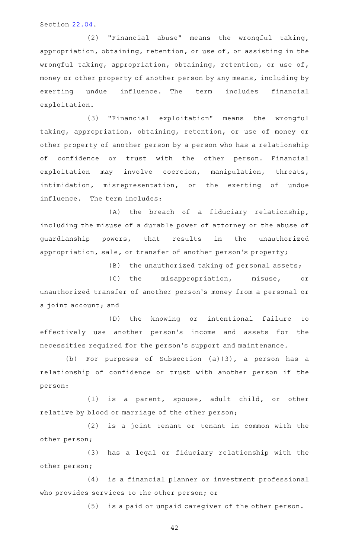Section [22.04.](http://www.statutes.legis.state.tx.us/GetStatute.aspx?Code=PE&Value=22.04)

(2) "Financial abuse" means the wrongful taking, appropriation, obtaining, retention, or use of, or assisting in the wrongful taking, appropriation, obtaining, retention, or use of, money or other property of another person by any means, including by exerting undue influence. The term includes financial exploitation.

(3) "Financial exploitation" means the wrongful taking, appropriation, obtaining, retention, or use of money or other property of another person by a person who has a relationship of confidence or trust with the other person. Financial exploitation may involve coercion, manipulation, threats, intimidation, misrepresentation, or the exerting of undue influence. The term includes:

 $(A)$  the breach of a fiduciary relationship, including the misuse of a durable power of attorney or the abuse of guardianship powers, that results in the unauthorized appropriation, sale, or transfer of another person 's property;

 $(B)$  the unauthorized taking of personal assets;

(C) the misappropriation, misuse, or unauthorized transfer of another person 's money from a personal or a joint account; and

(D) the knowing or intentional failure to effectively use another person's income and assets for the necessities required for the person 's support and maintenance.

(b) For purposes of Subsection  $(a)(3)$ , a person has a relationship of confidence or trust with another person if the person:

(1) is a parent, spouse, adult child, or other relative by blood or marriage of the other person;

(2) is a joint tenant or tenant in common with the other person;

(3) has a legal or fiduciary relationship with the other person;

(4) is a financial planner or investment professional who provides services to the other person; or

(5) is a paid or unpaid caregiver of the other person.